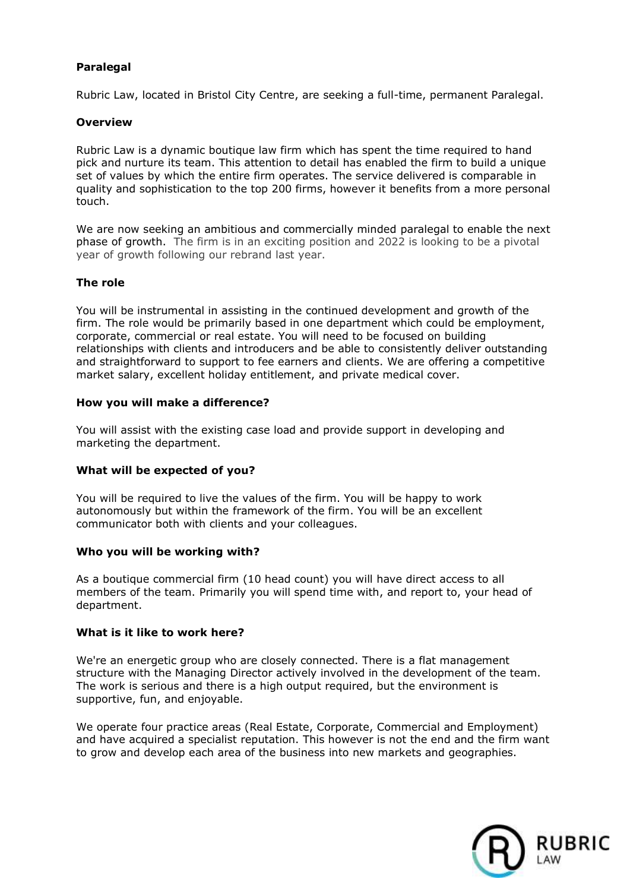# **Paralegal**

Rubric Law, located in Bristol City Centre, are seeking a full-time, permanent Paralegal.

# **Overview**

Rubric Law is a dynamic boutique law firm which has spent the time required to hand pick and nurture its team. This attention to detail has enabled the firm to build a unique set of values by which the entire firm operates. The service delivered is comparable in quality and sophistication to the top 200 firms, however it benefits from a more personal touch.

We are now seeking an ambitious and commercially minded paralegal to enable the next phase of growth. The firm is in an exciting position and 2022 is looking to be a pivotal year of growth following our rebrand last year.

# **The role**

You will be instrumental in assisting in the continued development and growth of the firm. The role would be primarily based in one department which could be employment, corporate, commercial or real estate. You will need to be focused on building relationships with clients and introducers and be able to consistently deliver outstanding and straightforward to support to fee earners and clients. We are offering a competitive market salary, excellent holiday entitlement, and private medical cover.

# **How you will make a difference?**

You will assist with the existing case load and provide support in developing and marketing the department.

# **What will be expected of you?**

You will be required to live the values of the firm. You will be happy to work autonomously but within the framework of the firm. You will be an excellent communicator both with clients and your colleagues.

#### **Who you will be working with?**

As a boutique commercial firm (10 head count) you will have direct access to all members of the team. Primarily you will spend time with, and report to, your head of department.

#### **What is it like to work here?**

We're an energetic group who are closely connected. There is a flat management structure with the Managing Director actively involved in the development of the team. The work is serious and there is a high output required, but the environment is supportive, fun, and enjoyable.

We operate four practice areas (Real Estate, Corporate, Commercial and Employment) and have acquired a specialist reputation. This however is not the end and the firm want to grow and develop each area of the business into new markets and geographies.